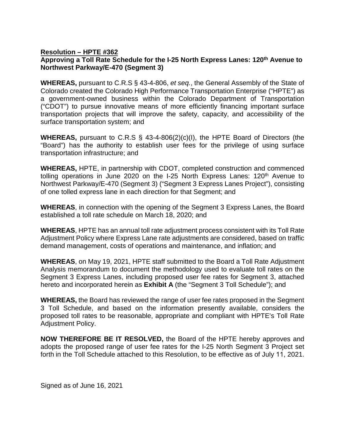## **Resolution – HPTE #362**

## **Approving a Toll Rate Schedule for the I-25 North Express Lanes: 120 th Avenue to Northwest Parkway/E-470 (Segment 3)**

**WHEREAS,** pursuant to C.R.S § 43-4-806, *et seq.*, the General Assembly of the State of Colorado created the Colorado High Performance Transportation Enterprise ("HPTE") as a government-owned business within the Colorado Department of Transportation ("CDOT") to pursue innovative means of more efficiently financing important surface transportation projects that will improve the safety, capacity, and accessibility of the surface transportation system; and

**WHEREAS,** pursuant to C.R.S § 43-4-806(2)(c)(I), the HPTE Board of Directors (the "Board") has the authority to establish user fees for the privilege of using surface transportation infrastructure; and

**WHEREAS,** HPTE, in partnership with CDOT, completed construction and commenced tolling operations in June 2020 on the I-25 North Express Lanes: 120<sup>th</sup> Avenue to Northwest Parkway/E-470 (Segment 3) ("Segment 3 Express Lanes Project"), consisting of one tolled express lane in each direction for that Segment; and

**WHEREAS**, in connection with the opening of the Segment 3 Express Lanes, the Board established a toll rate schedule on March 18, 2020; and

**WHEREAS**, HPTE has an annual toll rate adjustment process consistent with its Toll Rate Adjustment Policy where Express Lane rate adjustments are considered, based on traffic demand management, costs of operations and maintenance, and inflation; and

**WHEREAS**, on May 19, 2021, HPTE staff submitted to the Board a Toll Rate Adjustment Analysis memorandum to document the methodology used to evaluate toll rates on the Segment 3 Express Lanes, including proposed user fee rates for Segment 3, attached hereto and incorporated herein as **Exhibit A** (the "Segment 3 Toll Schedule"); and

**WHEREAS,** the Board has reviewed the range of user fee rates proposed in the Segment 3 Toll Schedule, and based on the information presently available, considers the proposed toll rates to be reasonable, appropriate and compliant with HPTE's Toll Rate Adjustment Policy.

**NOW THEREFORE BE IT RESOLVED,** the Board of the HPTE hereby approves and adopts the proposed range of user fee rates for the I-25 North Segment 3 Project set forth in the Toll Schedule attached to this Resolution, to be effective as of July 11, 2021.

Signed as of June 16, 2021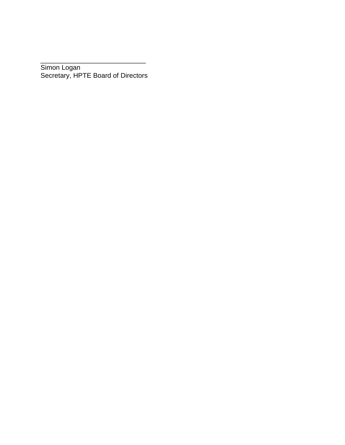Simon Logan Secretary, HPTE Board of Directors

\_\_\_\_\_\_\_\_\_\_\_\_\_\_\_\_\_\_\_\_\_\_\_\_\_\_\_\_